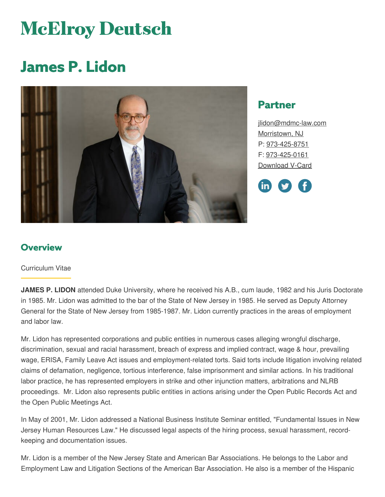# **McElroy Deutsch**

# **James P. Lidon**



## **Partner**

[jlidon@mdmc-law.com](mailto:jlidon@mdmc-law.com) [Morristown,](https://www.mdmc-law.com/offices/morristown) NJ P: [973-425-8751](tel:973-425-8751) F: [973-425-0161](tel:973-425-0161) [Download](https://www.mdmc-law.com/node/165/vcard) V-Card



### **Overview**

#### Curriculum Vitae

**JAMES P. LIDON** attended Duke University, where he received his A.B., cum laude, 1982 and his Juris Doctorate in 1985. Mr. Lidon was admitted to the bar of the State of New Jersey in 1985. He served as Deputy Attorney General for the State of New Jersey from 1985-1987. Mr. Lidon currently practices in the areas of employment and labor law.

Mr. Lidon has represented corporations and public entities in numerous cases alleging wrongful discharge, discrimination, sexual and racial harassment, breach of express and implied contract, wage & hour, prevailing wage, ERISA, Family Leave Act issues and employment-related torts. Said torts include litigation involving related claims of defamation, negligence, tortious interference, false imprisonment and similar actions. In his traditional labor practice, he has represented employers in strike and other injunction matters, arbitrations and NLRB proceedings. Mr. Lidon also represents public entities in actions arising under the Open Public Records Act and the Open Public Meetings Act.

In May of 2001, Mr. Lidon addressed a National Business Institute Seminar entitled, "Fundamental Issues in New Jersey Human Resources Law." He discussed legal aspects of the hiring process, sexual harassment, recordkeeping and documentation issues.

Mr. Lidon is a member of the New Jersey State and American Bar Associations. He belongs to the Labor and Employment Law and Litigation Sections of the American Bar Association. He also is a member of the Hispanic